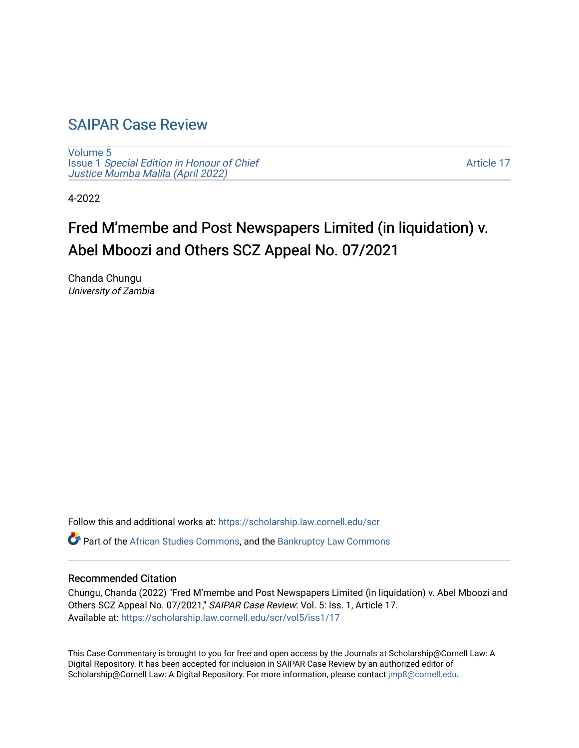## [SAIPAR Case Review](https://scholarship.law.cornell.edu/scr)

[Volume 5](https://scholarship.law.cornell.edu/scr/vol5) Issue 1 [Special Edition in Honour of Chief](https://scholarship.law.cornell.edu/scr/vol5/iss1) [Justice Mumba Malila \(April 2022\)](https://scholarship.law.cornell.edu/scr/vol5/iss1)

[Article 17](https://scholarship.law.cornell.edu/scr/vol5/iss1/17) 

4-2022

# Fred M'membe and Post Newspapers Limited (in liquidation) v. Abel Mboozi and Others SCZ Appeal No. 07/2021

Chanda Chungu University of Zambia

Follow this and additional works at: [https://scholarship.law.cornell.edu/scr](https://scholarship.law.cornell.edu/scr?utm_source=scholarship.law.cornell.edu%2Fscr%2Fvol5%2Fiss1%2F17&utm_medium=PDF&utm_campaign=PDFCoverPages) 

 $\bullet$  Part of the [African Studies Commons,](https://network.bepress.com/hgg/discipline/1043?utm_source=scholarship.law.cornell.edu%2Fscr%2Fvol5%2Fiss1%2F17&utm_medium=PDF&utm_campaign=PDFCoverPages) and the Bankruptcy Law Commons

#### Recommended Citation

Chungu, Chanda (2022) "Fred M'membe and Post Newspapers Limited (in liquidation) v. Abel Mboozi and Others SCZ Appeal No. 07/2021," SAIPAR Case Review: Vol. 5: Iss. 1, Article 17. Available at: [https://scholarship.law.cornell.edu/scr/vol5/iss1/17](https://scholarship.law.cornell.edu/scr/vol5/iss1/17?utm_source=scholarship.law.cornell.edu%2Fscr%2Fvol5%2Fiss1%2F17&utm_medium=PDF&utm_campaign=PDFCoverPages) 

This Case Commentary is brought to you for free and open access by the Journals at Scholarship@Cornell Law: A Digital Repository. It has been accepted for inclusion in SAIPAR Case Review by an authorized editor of Scholarship@Cornell Law: A Digital Repository. For more information, please contact [jmp8@cornell.edu](mailto:jmp8@cornell.edu).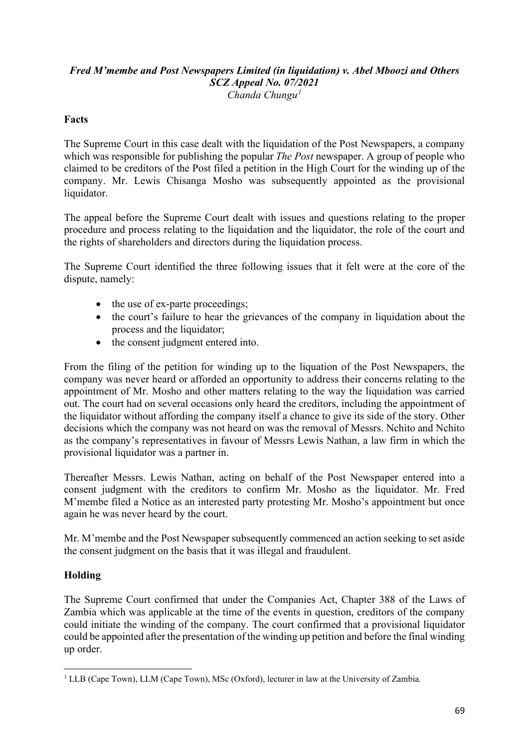#### *Fred M'membe and Post Newspapers Limited (in liquidation) v. Abel Mboozi and Others SCZ Appeal No. 07/2021 Chanda Chungu[1](#page-1-0)*

### **Facts**

The Supreme Court in this case dealt with the liquidation of the Post Newspapers, a company which was responsible for publishing the popular *The Post* newspaper. A group of people who claimed to be creditors of the Post filed a petition in the High Court for the winding up of the company. Mr. Lewis Chisanga Mosho was subsequently appointed as the provisional liquidator.

The appeal before the Supreme Court dealt with issues and questions relating to the proper procedure and process relating to the liquidation and the liquidator, the role of the court and the rights of shareholders and directors during the liquidation process.

The Supreme Court identified the three following issues that it felt were at the core of the dispute, namely:

- the use of ex-parte proceedings;
- the court's failure to hear the grievances of the company in liquidation about the process and the liquidator;
- the consent judgment entered into.

From the filing of the petition for winding up to the liquation of the Post Newspapers, the company was never heard or afforded an opportunity to address their concerns relating to the appointment of Mr. Mosho and other matters relating to the way the liquidation was carried out. The court had on several occasions only heard the creditors, including the appointment of the liquidator without affording the company itself a chance to give its side of the story. Other decisions which the company was not heard on was the removal of Messrs. Nchito and Nchito as the company's representatives in favour of Messrs Lewis Nathan, a law firm in which the provisional liquidator was a partner in.

Thereafter Messrs. Lewis Nathan, acting on behalf of the Post Newspaper entered into a consent judgment with the creditors to confirm Mr. Mosho as the liquidator. Mr. Fred M'membe filed a Notice as an interested party protesting Mr. Mosho's appointment but once again he was never heard by the court.

Mr. M'membe and the Post Newspaper subsequently commenced an action seeking to set aside the consent judgment on the basis that it was illegal and fraudulent.

#### **Holding**

The Supreme Court confirmed that under the Companies Act, Chapter 388 of the Laws of Zambia which was applicable at the time of the events in question, creditors of the company could initiate the winding of the company. The court confirmed that a provisional liquidator could be appointed after the presentation of the winding up petition and before the final winding up order.

<span id="page-1-0"></span><sup>&</sup>lt;sup>1</sup> LLB (Cape Town), LLM (Cape Town), MSc (Oxford), lecturer in law at the University of Zambia.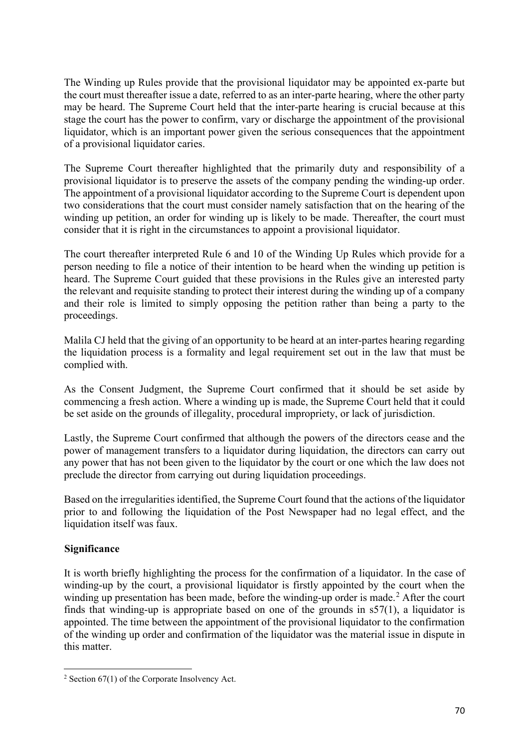The Winding up Rules provide that the provisional liquidator may be appointed ex-parte but the court must thereafter issue a date, referred to as an inter-parte hearing, where the other party may be heard. The Supreme Court held that the inter-parte hearing is crucial because at this stage the court has the power to confirm, vary or discharge the appointment of the provisional liquidator, which is an important power given the serious consequences that the appointment of a provisional liquidator caries.

The Supreme Court thereafter highlighted that the primarily duty and responsibility of a provisional liquidator is to preserve the assets of the company pending the winding-up order. The appointment of a provisional liquidator according to the Supreme Court is dependent upon two considerations that the court must consider namely satisfaction that on the hearing of the winding up petition, an order for winding up is likely to be made. Thereafter, the court must consider that it is right in the circumstances to appoint a provisional liquidator.

The court thereafter interpreted Rule 6 and 10 of the Winding Up Rules which provide for a person needing to file a notice of their intention to be heard when the winding up petition is heard. The Supreme Court guided that these provisions in the Rules give an interested party the relevant and requisite standing to protect their interest during the winding up of a company and their role is limited to simply opposing the petition rather than being a party to the proceedings.

Malila CJ held that the giving of an opportunity to be heard at an inter-partes hearing regarding the liquidation process is a formality and legal requirement set out in the law that must be complied with.

As the Consent Judgment, the Supreme Court confirmed that it should be set aside by commencing a fresh action. Where a winding up is made, the Supreme Court held that it could be set aside on the grounds of illegality, procedural impropriety, or lack of jurisdiction.

Lastly, the Supreme Court confirmed that although the powers of the directors cease and the power of management transfers to a liquidator during liquidation, the directors can carry out any power that has not been given to the liquidator by the court or one which the law does not preclude the director from carrying out during liquidation proceedings.

Based on the irregularities identified, the Supreme Court found that the actions of the liquidator prior to and following the liquidation of the Post Newspaper had no legal effect, and the liquidation itself was faux.

#### **Significance**

It is worth briefly highlighting the process for the confirmation of a liquidator. In the case of winding-up by the court, a provisional liquidator is firstly appointed by the court when the winding up presentation has been made, before the winding-up order is made.<sup>[2](#page-2-0)</sup> After the court finds that winding-up is appropriate based on one of the grounds in  $s57(1)$ , a liquidator is appointed. The time between the appointment of the provisional liquidator to the confirmation of the winding up order and confirmation of the liquidator was the material issue in dispute in this matter.

<span id="page-2-0"></span><sup>&</sup>lt;sup>2</sup> Section  $67(1)$  of the Corporate Insolvency Act.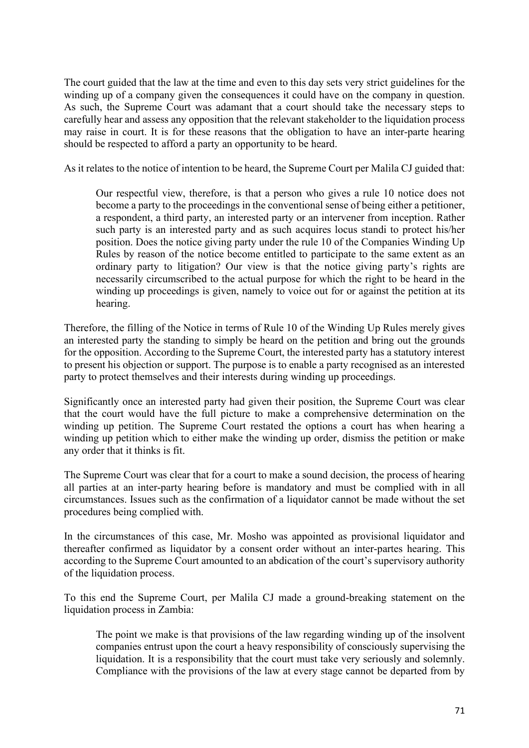The court guided that the law at the time and even to this day sets very strict guidelines for the winding up of a company given the consequences it could have on the company in question. As such, the Supreme Court was adamant that a court should take the necessary steps to carefully hear and assess any opposition that the relevant stakeholder to the liquidation process may raise in court. It is for these reasons that the obligation to have an inter-parte hearing should be respected to afford a party an opportunity to be heard.

As it relates to the notice of intention to be heard, the Supreme Court per Malila CJ guided that:

Our respectful view, therefore, is that a person who gives a rule 10 notice does not become a party to the proceedings in the conventional sense of being either a petitioner, a respondent, a third party, an interested party or an intervener from inception. Rather such party is an interested party and as such acquires locus standi to protect his/her position. Does the notice giving party under the rule 10 of the Companies Winding Up Rules by reason of the notice become entitled to participate to the same extent as an ordinary party to litigation? Our view is that the notice giving party's rights are necessarily circumscribed to the actual purpose for which the right to be heard in the winding up proceedings is given, namely to voice out for or against the petition at its hearing.

Therefore, the filling of the Notice in terms of Rule 10 of the Winding Up Rules merely gives an interested party the standing to simply be heard on the petition and bring out the grounds for the opposition. According to the Supreme Court, the interested party has a statutory interest to present his objection or support. The purpose is to enable a party recognised as an interested party to protect themselves and their interests during winding up proceedings.

Significantly once an interested party had given their position, the Supreme Court was clear that the court would have the full picture to make a comprehensive determination on the winding up petition. The Supreme Court restated the options a court has when hearing a winding up petition which to either make the winding up order, dismiss the petition or make any order that it thinks is fit.

The Supreme Court was clear that for a court to make a sound decision, the process of hearing all parties at an inter-party hearing before is mandatory and must be complied with in all circumstances. Issues such as the confirmation of a liquidator cannot be made without the set procedures being complied with.

In the circumstances of this case, Mr. Mosho was appointed as provisional liquidator and thereafter confirmed as liquidator by a consent order without an inter-partes hearing. This according to the Supreme Court amounted to an abdication of the court's supervisory authority of the liquidation process.

To this end the Supreme Court, per Malila CJ made a ground-breaking statement on the liquidation process in Zambia:

The point we make is that provisions of the law regarding winding up of the insolvent companies entrust upon the court a heavy responsibility of consciously supervising the liquidation. It is a responsibility that the court must take very seriously and solemnly. Compliance with the provisions of the law at every stage cannot be departed from by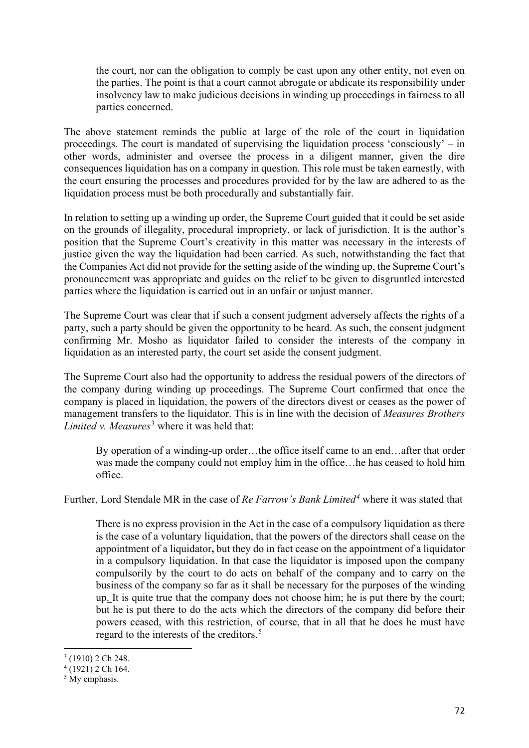the court, nor can the obligation to comply be cast upon any other entity, not even on the parties. The point is that a court cannot abrogate or abdicate its responsibility under insolvency law to make judicious decisions in winding up proceedings in fairness to all parties concerned.

The above statement reminds the public at large of the role of the court in liquidation proceedings. The court is mandated of supervising the liquidation process 'consciously' – in other words, administer and oversee the process in a diligent manner, given the dire consequences liquidation has on a company in question. This role must be taken earnestly, with the court ensuring the processes and procedures provided for by the law are adhered to as the liquidation process must be both procedurally and substantially fair.

In relation to setting up a winding up order, the Supreme Court guided that it could be set aside on the grounds of illegality, procedural impropriety, or lack of jurisdiction. It is the author's position that the Supreme Court's creativity in this matter was necessary in the interests of justice given the way the liquidation had been carried. As such, notwithstanding the fact that the Companies Act did not provide for the setting aside of the winding up, the Supreme Court's pronouncement was appropriate and guides on the relief to be given to disgruntled interested parties where the liquidation is carried out in an unfair or unjust manner.

The Supreme Court was clear that if such a consent judgment adversely affects the rights of a party, such a party should be given the opportunity to be heard. As such, the consent judgment confirming Mr. Mosho as liquidator failed to consider the interests of the company in liquidation as an interested party, the court set aside the consent judgment.

The Supreme Court also had the opportunity to address the residual powers of the directors of the company during winding up proceedings. The Supreme Court confirmed that once the company is placed in liquidation, the powers of the directors divest or ceases as the power of management transfers to the liquidator. This is in line with the decision of *Measures Brothers Limited v. Measures*<sup>[3](#page-4-0)</sup> where it was held that:

By operation of a winding-up order…the office itself came to an end…after that order was made the company could not employ him in the office…he has ceased to hold him office.

Further, Lord Stendale MR in the case of *Re Farrow's Bank Limited[4](#page-4-1)* where it was stated that

There is no express provision in the Act in the case of a compulsory liquidation as there is the case of a voluntary liquidation, that the powers of the directors shall cease on the appointment of a liquidator**,** but they do in fact cease on the appointment of a liquidator in a compulsory liquidation. In that case the liquidator is imposed upon the company compulsorily by the court to do acts on behalf of the company and to carry on the business of the company so far as it shall be necessary for the purposes of the winding up. It is quite true that the company does not choose him; he is put there by the court; but he is put there to do the acts which the directors of the company did before their powers ceased, with this restriction, of course, that in all that he does he must have regard to the interests of the creditors.<sup>[5](#page-4-2)</sup>

<span id="page-4-0"></span> $3(1910)$  2 Ch 248.

<span id="page-4-1"></span> $4(1921)$  2 Ch 164.

<span id="page-4-2"></span><sup>&</sup>lt;sup>5</sup> My emphasis.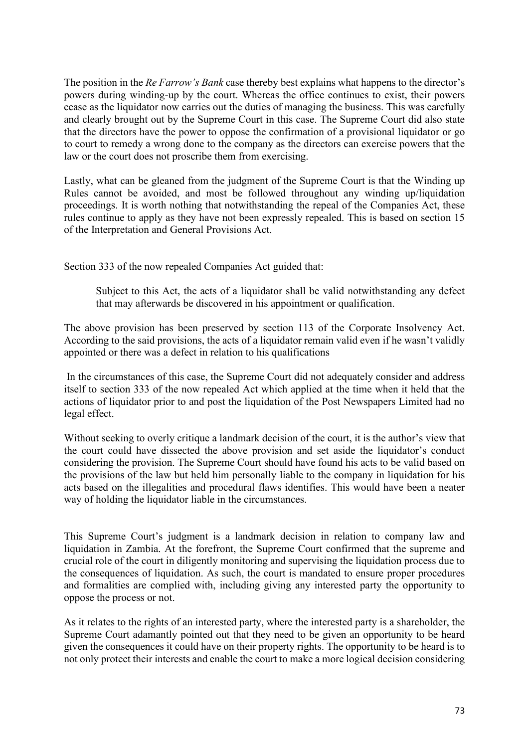The position in the *Re Farrow's Bank* case thereby best explains what happens to the director's powers during winding-up by the court. Whereas the office continues to exist, their powers cease as the liquidator now carries out the duties of managing the business. This was carefully and clearly brought out by the Supreme Court in this case. The Supreme Court did also state that the directors have the power to oppose the confirmation of a provisional liquidator or go to court to remedy a wrong done to the company as the directors can exercise powers that the law or the court does not proscribe them from exercising.

Lastly, what can be gleaned from the judgment of the Supreme Court is that the Winding up Rules cannot be avoided, and most be followed throughout any winding up/liquidation proceedings. It is worth nothing that notwithstanding the repeal of the Companies Act, these rules continue to apply as they have not been expressly repealed. This is based on section 15 of the Interpretation and General Provisions Act.

Section 333 of the now repealed Companies Act guided that:

Subject to this Act, the acts of a liquidator shall be valid notwithstanding any defect that may afterwards be discovered in his appointment or qualification.

The above provision has been preserved by section 113 of the Corporate Insolvency Act. According to the said provisions, the acts of a liquidator remain valid even if he wasn't validly appointed or there was a defect in relation to his qualifications

In the circumstances of this case, the Supreme Court did not adequately consider and address itself to section 333 of the now repealed Act which applied at the time when it held that the actions of liquidator prior to and post the liquidation of the Post Newspapers Limited had no legal effect.

Without seeking to overly critique a landmark decision of the court, it is the author's view that the court could have dissected the above provision and set aside the liquidator's conduct considering the provision. The Supreme Court should have found his acts to be valid based on the provisions of the law but held him personally liable to the company in liquidation for his acts based on the illegalities and procedural flaws identifies. This would have been a neater way of holding the liquidator liable in the circumstances.

This Supreme Court's judgment is a landmark decision in relation to company law and liquidation in Zambia. At the forefront, the Supreme Court confirmed that the supreme and crucial role of the court in diligently monitoring and supervising the liquidation process due to the consequences of liquidation. As such, the court is mandated to ensure proper procedures and formalities are complied with, including giving any interested party the opportunity to oppose the process or not.

As it relates to the rights of an interested party, where the interested party is a shareholder, the Supreme Court adamantly pointed out that they need to be given an opportunity to be heard given the consequences it could have on their property rights. The opportunity to be heard is to not only protect their interests and enable the court to make a more logical decision considering